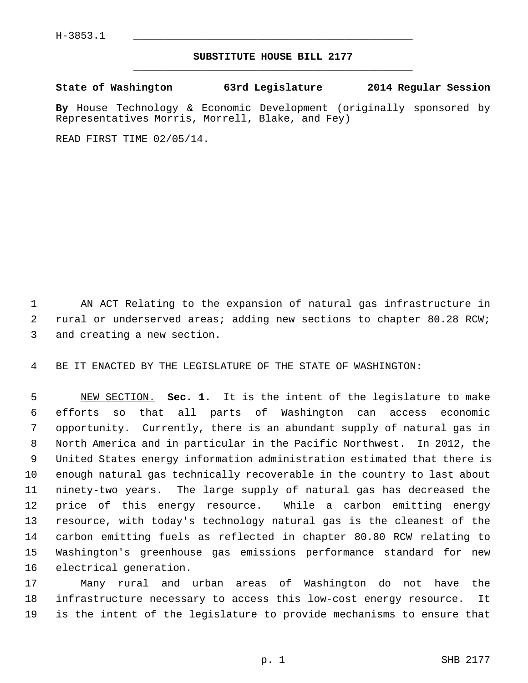## **SUBSTITUTE HOUSE BILL 2177** \_\_\_\_\_\_\_\_\_\_\_\_\_\_\_\_\_\_\_\_\_\_\_\_\_\_\_\_\_\_\_\_\_\_\_\_\_\_\_\_\_\_\_\_\_

**State of Washington 63rd Legislature 2014 Regular Session**

**By** House Technology & Economic Development (originally sponsored by Representatives Morris, Morrell, Blake, and Fey)

READ FIRST TIME 02/05/14.

 1 AN ACT Relating to the expansion of natural gas infrastructure in 2 rural or underserved areas; adding new sections to chapter 80.28 RCW; 3 and creating a new section.

4 BE IT ENACTED BY THE LEGISLATURE OF THE STATE OF WASHINGTON:

 5 NEW SECTION. **Sec. 1.** It is the intent of the legislature to make 6 efforts so that all parts of Washington can access economic 7 opportunity. Currently, there is an abundant supply of natural gas in 8 North America and in particular in the Pacific Northwest. In 2012, the 9 United States energy information administration estimated that there is 10 enough natural gas technically recoverable in the country to last about 11 ninety-two years. The large supply of natural gas has decreased the 12 price of this energy resource. While a carbon emitting energy 13 resource, with today's technology natural gas is the cleanest of the 14 carbon emitting fuels as reflected in chapter 80.80 RCW relating to 15 Washington's greenhouse gas emissions performance standard for new 16 electrical generation.

17 Many rural and urban areas of Washington do not have the 18 infrastructure necessary to access this low-cost energy resource. It 19 is the intent of the legislature to provide mechanisms to ensure that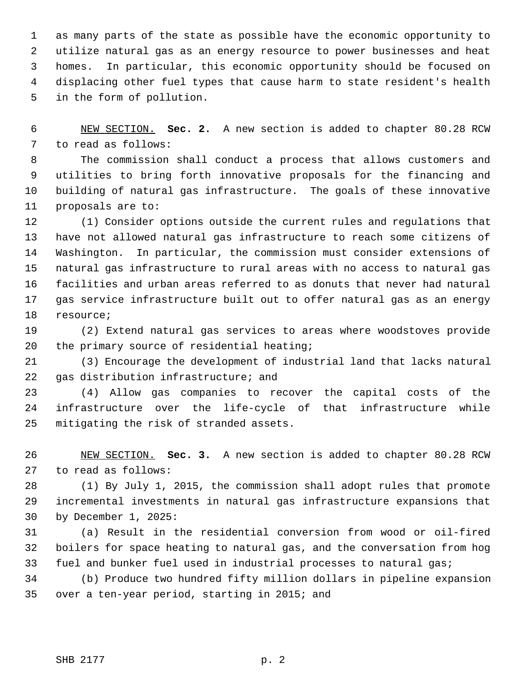1 as many parts of the state as possible have the economic opportunity to 2 utilize natural gas as an energy resource to power businesses and heat 3 homes. In particular, this economic opportunity should be focused on 4 displacing other fuel types that cause harm to state resident's health 5 in the form of pollution.

 6 NEW SECTION. **Sec. 2.** A new section is added to chapter 80.28 RCW 7 to read as follows:

 8 The commission shall conduct a process that allows customers and 9 utilities to bring forth innovative proposals for the financing and 10 building of natural gas infrastructure. The goals of these innovative 11 proposals are to:

12 (1) Consider options outside the current rules and regulations that 13 have not allowed natural gas infrastructure to reach some citizens of 14 Washington. In particular, the commission must consider extensions of 15 natural gas infrastructure to rural areas with no access to natural gas 16 facilities and urban areas referred to as donuts that never had natural 17 gas service infrastructure built out to offer natural gas as an energy 18 resource;

19 (2) Extend natural gas services to areas where woodstoves provide 20 the primary source of residential heating;

21 (3) Encourage the development of industrial land that lacks natural 22 gas distribution infrastructure; and

23 (4) Allow gas companies to recover the capital costs of the 24 infrastructure over the life-cycle of that infrastructure while 25 mitigating the risk of stranded assets.

26 NEW SECTION. **Sec. 3.** A new section is added to chapter 80.28 RCW 27 to read as follows:

28 (1) By July 1, 2015, the commission shall adopt rules that promote 29 incremental investments in natural gas infrastructure expansions that 30 by December 1, 2025:

31 (a) Result in the residential conversion from wood or oil-fired 32 boilers for space heating to natural gas, and the conversation from hog 33 fuel and bunker fuel used in industrial processes to natural gas;

34 (b) Produce two hundred fifty million dollars in pipeline expansion 35 over a ten-year period, starting in 2015; and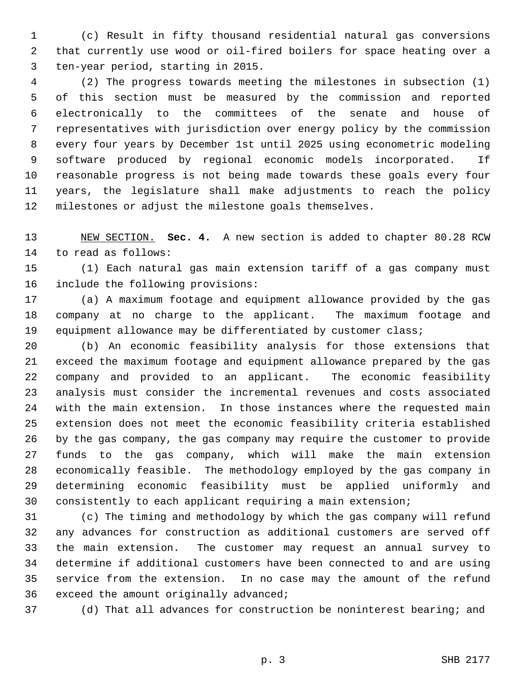1 (c) Result in fifty thousand residential natural gas conversions 2 that currently use wood or oil-fired boilers for space heating over a 3 ten-year period, starting in 2015.

 4 (2) The progress towards meeting the milestones in subsection (1) 5 of this section must be measured by the commission and reported 6 electronically to the committees of the senate and house of 7 representatives with jurisdiction over energy policy by the commission 8 every four years by December 1st until 2025 using econometric modeling 9 software produced by regional economic models incorporated. If 10 reasonable progress is not being made towards these goals every four 11 years, the legislature shall make adjustments to reach the policy 12 milestones or adjust the milestone goals themselves.

13 NEW SECTION. **Sec. 4.** A new section is added to chapter 80.28 RCW 14 to read as follows:

15 (1) Each natural gas main extension tariff of a gas company must 16 include the following provisions:

17 (a) A maximum footage and equipment allowance provided by the gas 18 company at no charge to the applicant. The maximum footage and 19 equipment allowance may be differentiated by customer class;

20 (b) An economic feasibility analysis for those extensions that 21 exceed the maximum footage and equipment allowance prepared by the gas 22 company and provided to an applicant. The economic feasibility 23 analysis must consider the incremental revenues and costs associated 24 with the main extension. In those instances where the requested main 25 extension does not meet the economic feasibility criteria established 26 by the gas company, the gas company may require the customer to provide 27 funds to the gas company, which will make the main extension 28 economically feasible. The methodology employed by the gas company in 29 determining economic feasibility must be applied uniformly and 30 consistently to each applicant requiring a main extension;

31 (c) The timing and methodology by which the gas company will refund 32 any advances for construction as additional customers are served off 33 the main extension. The customer may request an annual survey to 34 determine if additional customers have been connected to and are using 35 service from the extension. In no case may the amount of the refund 36 exceed the amount originally advanced;

37 (d) That all advances for construction be noninterest bearing; and